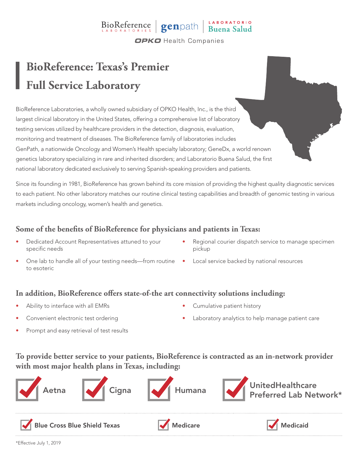# $\text{BioReference}$   $\text{genpath}$   $\text{Buena Salud}$

**OPKO** Health Companies

## **BioReference: Texas's Premier Full Service Laboratory**

BioReference Laboratories, a wholly owned subsidiary of OPKO Health, Inc., is the third largest clinical laboratory in the United States, offering a comprehensive list of laboratory testing services utilized by healthcare providers in the detection, diagnosis, evaluation, monitoring and treatment of diseases. The BioReference family of laboratories includes GenPath, a nationwide Oncology and Women's Health specialty laboratory; GeneDx, a world renown genetics laboratory specializing in rare and inherited disorders; and Laboratorio Buena Salud, the first national laboratory dedicated exclusively to serving Spanish-speaking providers and patients.

Since its founding in 1981, BioReference has grown behind its core mission of providing the highest quality diagnostic services to each patient. No other laboratory matches our routine clinical testing capabilities and breadth of genomic testing in various markets including oncology, women's health and genetics.

### **Some of the benefits of BioReference for physicians and patients in Texas:**

- Dedicated Account Representatives attuned to your specific needs
- One lab to handle all of your testing needs—from routine Local service backed by national resources to esoteric
- Regional courier dispatch service to manage specimen pickup
	-

#### **In addition, BioReference offers state-of-the art connectivity solutions including:**

- Ability to interface with all EMRs
- Convenient electronic test ordering
- Cumulative patient history
- Laboratory analytics to help manage patient care

Prompt and easy retrieval of test results

### **To provide better service to your patients, BioReference is contracted as an in-network provider with most major health plans in Texas, including:**